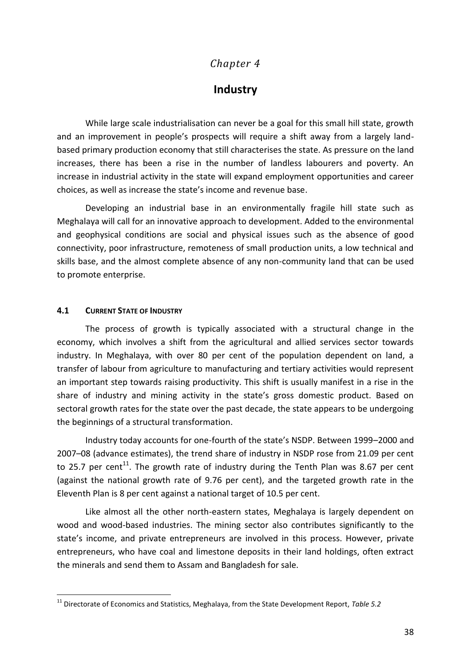# *Chapter 4*

# **Industry**

While large scale industrialisation can never be a goal for this small hill state, growth and an improvement in people's prospects will require a shift away from a largely landbased primary production economy that still characterises the state. As pressure on the land increases, there has been a rise in the number of landless labourers and poverty. An increase in industrial activity in the state will expand employment opportunities and career choices, as well as increase the state's income and revenue base.

Developing an industrial base in an environmentally fragile hill state such as Meghalaya will call for an innovative approach to development. Added to the environmental and geophysical conditions are social and physical issues such as the absence of good connectivity, poor infrastructure, remoteness of small production units, a low technical and skills base, and the almost complete absence of any non-community land that can be used to promote enterprise.

#### **4.1 CURRENT STATE OF INDUSTRY**

1

The process of growth is typically associated with a structural change in the economy, which involves a shift from the agricultural and allied services sector towards industry. In Meghalaya, with over 80 per cent of the population dependent on land, a transfer of labour from agriculture to manufacturing and tertiary activities would represent an important step towards raising productivity. This shift is usually manifest in a rise in the share of industry and mining activity in the state's gross domestic product. Based on sectoral growth rates for the state over the past decade, the state appears to be undergoing the beginnings of a structural transformation.

Industry today accounts for one-fourth of the state's NSDP. Between 1999–2000 and 2007–08 (advance estimates), the trend share of industry in NSDP rose from 21.09 per cent to 25.7 per cent<sup>11</sup>. The growth rate of industry during the Tenth Plan was 8.67 per cent (against the national growth rate of 9.76 per cent), and the targeted growth rate in the Eleventh Plan is 8 per cent against a national target of 10.5 per cent.

Like almost all the other north-eastern states, Meghalaya is largely dependent on wood and wood-based industries. The mining sector also contributes significantly to the state's income, and private entrepreneurs are involved in this process. However, private entrepreneurs, who have coal and limestone deposits in their land holdings, often extract the minerals and send them to Assam and Bangladesh for sale.

<sup>11</sup> Directorate of Economics and Statistics, Meghalaya, from the State Development Report, *Table 5.2*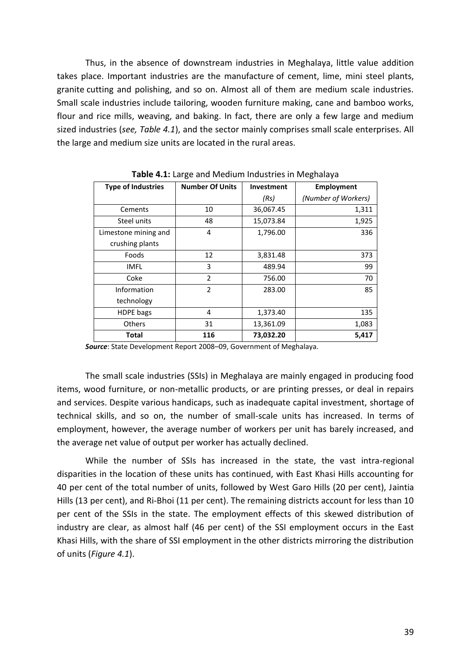Thus, in the absence of downstream industries in Meghalaya, little value addition takes place. Important industries are the manufacture of cement, lime, mini steel plants, granite cutting and polishing, and so on. Almost all of them are medium scale industries. Small scale industries include tailoring, wooden furniture making, cane and bamboo works, flour and rice mills, weaving, and baking. In fact, there are only a few large and medium sized industries (*see, Table 4.1*), and the sector mainly comprises small scale enterprises. All the large and medium size units are located in the rural areas.

| <b>Type of Industries</b> | <b>Number Of Units</b> | Investment | <b>Employment</b>   |  |
|---------------------------|------------------------|------------|---------------------|--|
|                           |                        | (Rs)       | (Number of Workers) |  |
| Cements                   | 10                     | 36,067.45  | 1,311               |  |
| Steel units               | 48                     | 15,073.84  | 1,925               |  |
| Limestone mining and      | 4                      | 1,796.00   | 336                 |  |
| crushing plants           |                        |            |                     |  |
| Foods                     | 12                     | 3,831.48   | 373                 |  |
| <b>IMFL</b>               | 3                      | 489.94     | 99                  |  |
| Coke                      | $\overline{2}$         | 756.00     | 70                  |  |
| Information               | $\overline{2}$         | 283.00     | 85                  |  |
| technology                |                        |            |                     |  |
| <b>HDPE</b> bags          | 4                      | 1,373.40   | 135                 |  |
| Others                    | 31                     | 13,361.09  | 1,083               |  |
| Total                     | 116                    | 73,032.20  | 5,417               |  |

**Table 4.1:** Large and Medium Industries in Meghalaya

*Source*: State Development Report 2008–09, Government of Meghalaya.

The small scale industries (SSIs) in Meghalaya are mainly engaged in producing food items, wood furniture, or non-metallic products, or are printing presses, or deal in repairs and services. Despite various handicaps, such as inadequate capital investment, shortage of technical skills, and so on, the number of small-scale units has increased. In terms of employment, however, the average number of workers per unit has barely increased, and the average net value of output per worker has actually declined.

While the number of SSIs has increased in the state, the vast intra-regional disparities in the location of these units has continued, with East Khasi Hills accounting for 40 per cent of the total number of units, followed by West Garo Hills (20 per cent), Jaintia Hills (13 per cent), and Ri-Bhoi (11 per cent). The remaining districts account for less than 10 per cent of the SSIs in the state. The employment effects of this skewed distribution of industry are clear, as almost half (46 per cent) of the SSI employment occurs in the East Khasi Hills, with the share of SSI employment in the other districts mirroring the distribution of units (*Figure 4.1*).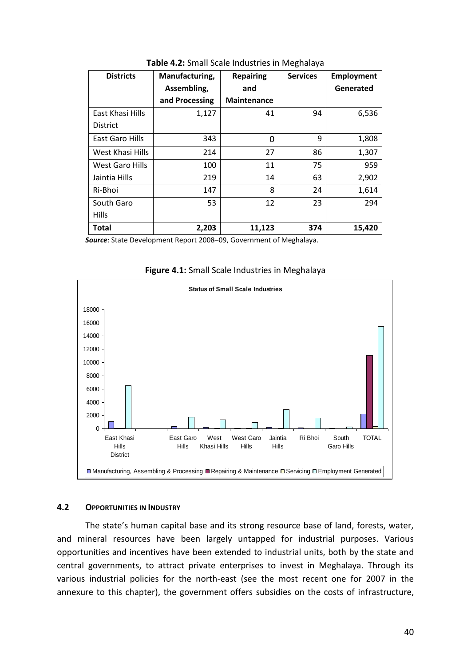| <b>Districts</b>       | Manufacturing,<br>Assembling, | <b>Repairing</b><br>and | <b>Services</b> | <b>Employment</b><br>Generated |
|------------------------|-------------------------------|-------------------------|-----------------|--------------------------------|
|                        | and Processing                | <b>Maintenance</b>      |                 |                                |
| East Khasi Hills       | 1,127                         | 41                      | 94              | 6,536                          |
| <b>District</b>        |                               |                         |                 |                                |
| East Garo Hills        | 343                           | 0                       | 9               | 1,808                          |
| West Khasi Hills       | 214                           | 27                      | 86              | 1,307                          |
| <b>West Garo Hills</b> | 100                           | 11                      | 75              | 959                            |
| Jaintia Hills          | 219                           | 14                      | 63              | 2,902                          |
| Ri-Bhoi                | 147                           | 8                       | 24              | 1,614                          |
| South Garo             | 53                            | 12                      | 23              | 294                            |
| <b>Hills</b>           |                               |                         |                 |                                |
| Total                  | 2,203                         | 11,123                  | 374             | 15,420                         |

**Table 4.2:** Small Scale Industries in Meghalaya

*Source*: State Development Report 2008–09, Government of Meghalaya.





#### **4.2 OPPORTUNITIES IN INDUSTRY**

The state's human capital base and its strong resource base of land, forests, water, and mineral resources have been largely untapped for industrial purposes. Various opportunities and incentives have been extended to industrial units, both by the state and central governments, to attract private enterprises to invest in Meghalaya. Through its various industrial policies for the north-east (see the most recent one for 2007 in the annexure to this chapter), the government offers subsidies on the costs of infrastructure,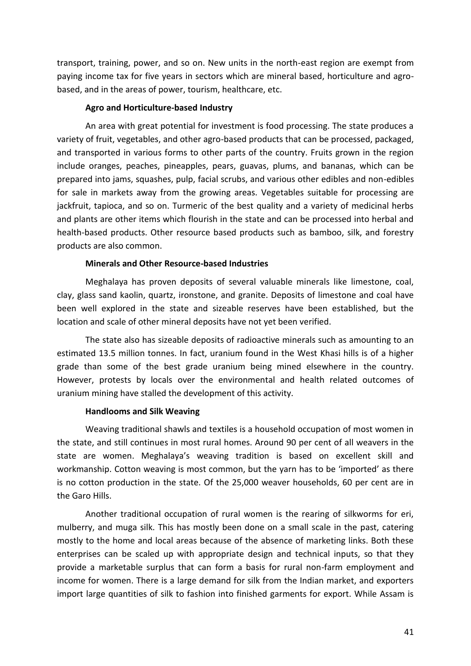transport, training, power, and so on. New units in the north-east region are exempt from paying income tax for five years in sectors which are mineral based, horticulture and agrobased, and in the areas of power, tourism, healthcare, etc.

#### **Agro and Horticulture-based Industry**

An area with great potential for investment is food processing. The state produces a variety of fruit, vegetables, and other agro-based products that can be processed, packaged, and transported in various forms to other parts of the country. Fruits grown in the region include oranges, peaches, pineapples, pears, guavas, plums, and bananas, which can be prepared into jams, squashes, pulp, facial scrubs, and various other edibles and non-edibles for sale in markets away from the growing areas. Vegetables suitable for processing are jackfruit, tapioca, and so on. Turmeric of the best quality and a variety of medicinal herbs and plants are other items which flourish in the state and can be processed into herbal and health-based products. Other resource based products such as bamboo, silk, and forestry products are also common.

#### **Minerals and Other Resource-based Industries**

Meghalaya has proven deposits of several valuable minerals like limestone, coal, clay, glass sand kaolin, quartz, ironstone, and granite. Deposits of limestone and coal have been well explored in the state and sizeable reserves have been established, but the location and scale of other mineral deposits have not yet been verified.

The state also has sizeable deposits of radioactive minerals such as amounting to an estimated 13.5 million tonnes. In fact, uranium found in the West Khasi hills is of a higher grade than some of the best grade uranium being mined elsewhere in the country. However, protests by locals over the environmental and health related outcomes of uranium mining have stalled the development of this activity.

#### **Handlooms and Silk Weaving**

Weaving traditional shawls and textiles is a household occupation of most women in the state, and still continues in most rural homes. Around 90 per cent of all weavers in the state are women. Meghalaya's weaving tradition is based on excellent skill and workmanship. Cotton weaving is most common, but the yarn has to be 'imported' as there is no cotton production in the state. Of the 25,000 weaver households, 60 per cent are in the Garo Hills.

Another traditional occupation of rural women is the rearing of silkworms for eri, mulberry, and muga silk. This has mostly been done on a small scale in the past, catering mostly to the home and local areas because of the absence of marketing links. Both these enterprises can be scaled up with appropriate design and technical inputs, so that they provide a marketable surplus that can form a basis for rural non-farm employment and income for women. There is a large demand for silk from the Indian market, and exporters import large quantities of silk to fashion into finished garments for export. While Assam is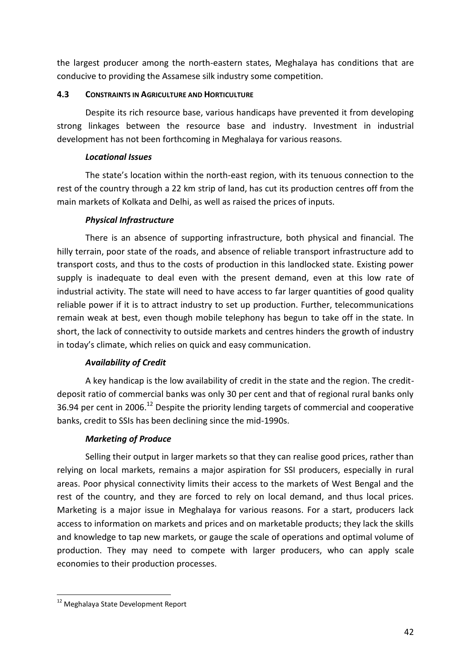the largest producer among the north-eastern states, Meghalaya has conditions that are conducive to providing the Assamese silk industry some competition.

# **4.3 CONSTRAINTS IN AGRICULTURE AND HORTICULTURE**

Despite its rich resource base, various handicaps have prevented it from developing strong linkages between the resource base and industry. Investment in industrial development has not been forthcoming in Meghalaya for various reasons.

## *Locational Issues*

The state's location within the north-east region, with its tenuous connection to the rest of the country through a 22 km strip of land, has cut its production centres off from the main markets of Kolkata and Delhi, as well as raised the prices of inputs.

# *Physical Infrastructure*

There is an absence of supporting infrastructure, both physical and financial. The hilly terrain, poor state of the roads, and absence of reliable transport infrastructure add to transport costs, and thus to the costs of production in this landlocked state. Existing power supply is inadequate to deal even with the present demand, even at this low rate of industrial activity. The state will need to have access to far larger quantities of good quality reliable power if it is to attract industry to set up production. Further, telecommunications remain weak at best, even though mobile telephony has begun to take off in the state. In short, the lack of connectivity to outside markets and centres hinders the growth of industry in today's climate, which relies on quick and easy communication.

# *Availability of Credit*

A key handicap is the low availability of credit in the state and the region. The creditdeposit ratio of commercial banks was only 30 per cent and that of regional rural banks only 36.94 per cent in 2006.<sup>12</sup> Despite the priority lending targets of commercial and cooperative banks, credit to SSIs has been declining since the mid-1990s.

# *Marketing of Produce*

Selling their output in larger markets so that they can realise good prices, rather than relying on local markets, remains a major aspiration for SSI producers, especially in rural areas. Poor physical connectivity limits their access to the markets of West Bengal and the rest of the country, and they are forced to rely on local demand, and thus local prices. Marketing is a major issue in Meghalaya for various reasons. For a start, producers lack access to information on markets and prices and on marketable products; they lack the skills and knowledge to tap new markets, or gauge the scale of operations and optimal volume of production. They may need to compete with larger producers, who can apply scale economies to their production processes.

<sup>1</sup> <sup>12</sup> Meghalaya State Development Report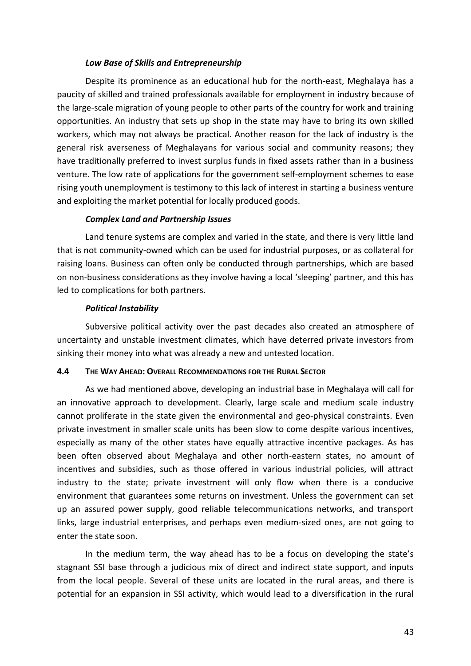### *Low Base of Skills and Entrepreneurship*

Despite its prominence as an educational hub for the north-east, Meghalaya has a paucity of skilled and trained professionals available for employment in industry because of the large-scale migration of young people to other parts of the country for work and training opportunities. An industry that sets up shop in the state may have to bring its own skilled workers, which may not always be practical. Another reason for the lack of industry is the general risk averseness of Meghalayans for various social and community reasons; they have traditionally preferred to invest surplus funds in fixed assets rather than in a business venture. The low rate of applications for the government self-employment schemes to ease rising youth unemployment is testimony to this lack of interest in starting a business venture and exploiting the market potential for locally produced goods.

### *Complex Land and Partnership Issues*

Land tenure systems are complex and varied in the state, and there is very little land that is not community-owned which can be used for industrial purposes, or as collateral for raising loans. Business can often only be conducted through partnerships, which are based on non-business considerations as they involve having a local 'sleeping' partner, and this has led to complications for both partners.

### *Political Instability*

Subversive political activity over the past decades also created an atmosphere of uncertainty and unstable investment climates, which have deterred private investors from sinking their money into what was already a new and untested location.

#### **4.4 THE WAY AHEAD: OVERALL RECOMMENDATIONS FOR THE RURAL SECTOR**

As we had mentioned above, developing an industrial base in Meghalaya will call for an innovative approach to development. Clearly, large scale and medium scale industry cannot proliferate in the state given the environmental and geo-physical constraints. Even private investment in smaller scale units has been slow to come despite various incentives, especially as many of the other states have equally attractive incentive packages. As has been often observed about Meghalaya and other north-eastern states, no amount of incentives and subsidies, such as those offered in various industrial policies, will attract industry to the state; private investment will only flow when there is a conducive environment that guarantees some returns on investment. Unless the government can set up an assured power supply, good reliable telecommunications networks, and transport links, large industrial enterprises, and perhaps even medium-sized ones, are not going to enter the state soon.

In the medium term, the way ahead has to be a focus on developing the state's stagnant SSI base through a judicious mix of direct and indirect state support, and inputs from the local people. Several of these units are located in the rural areas, and there is potential for an expansion in SSI activity, which would lead to a diversification in the rural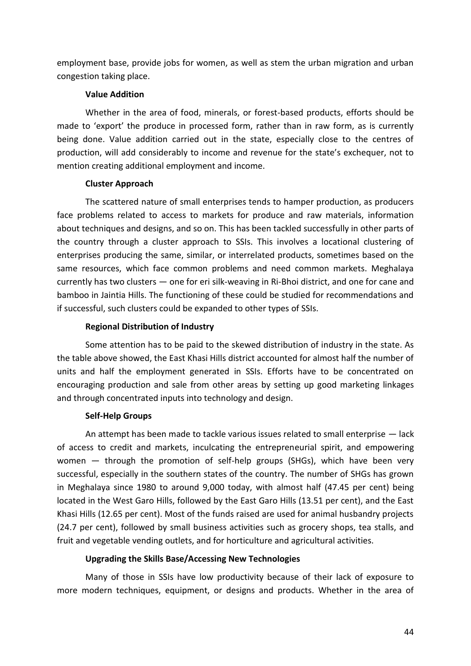employment base, provide jobs for women, as well as stem the urban migration and urban congestion taking place.

### **Value Addition**

Whether in the area of food, minerals, or forest-based products, efforts should be made to 'export' the produce in processed form, rather than in raw form, as is currently being done. Value addition carried out in the state, especially close to the centres of production, will add considerably to income and revenue for the state's exchequer, not to mention creating additional employment and income.

### **Cluster Approach**

The scattered nature of small enterprises tends to hamper production, as producers face problems related to access to markets for produce and raw materials, information about techniques and designs, and so on. This has been tackled successfully in other parts of the country through a cluster approach to SSIs. This involves a locational clustering of enterprises producing the same, similar, or interrelated products, sometimes based on the same resources, which face common problems and need common markets. Meghalaya currently has two clusters — one for eri silk-weaving in Ri-Bhoi district, and one for cane and bamboo in Jaintia Hills. The functioning of these could be studied for recommendations and if successful, such clusters could be expanded to other types of SSIs.

# **Regional Distribution of Industry**

Some attention has to be paid to the skewed distribution of industry in the state. As the table above showed, the East Khasi Hills district accounted for almost half the number of units and half the employment generated in SSIs. Efforts have to be concentrated on encouraging production and sale from other areas by setting up good marketing linkages and through concentrated inputs into technology and design.

# **Self-Help Groups**

An attempt has been made to tackle various issues related to small enterprise — lack of access to credit and markets, inculcating the entrepreneurial spirit, and empowering women — through the promotion of self-help groups (SHGs), which have been very successful, especially in the southern states of the country. The number of SHGs has grown in Meghalaya since 1980 to around 9,000 today, with almost half (47.45 per cent) being located in the West Garo Hills, followed by the East Garo Hills (13.51 per cent), and the East Khasi Hills (12.65 per cent). Most of the funds raised are used for animal husbandry projects (24.7 per cent), followed by small business activities such as grocery shops, tea stalls, and fruit and vegetable vending outlets, and for horticulture and agricultural activities.

#### **Upgrading the Skills Base/Accessing New Technologies**

Many of those in SSIs have low productivity because of their lack of exposure to more modern techniques, equipment, or designs and products. Whether in the area of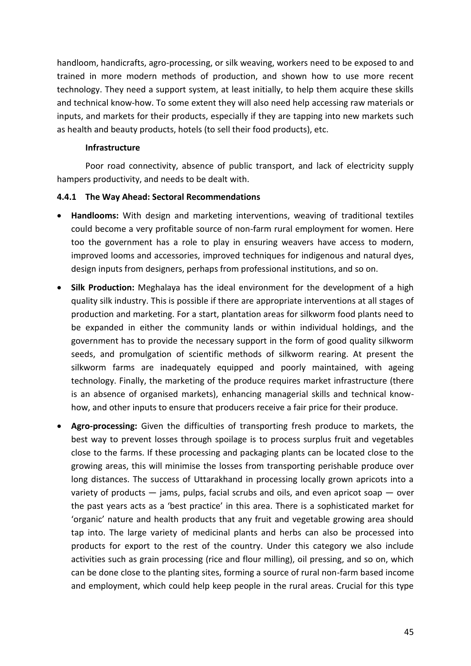handloom, handicrafts, agro-processing, or silk weaving, workers need to be exposed to and trained in more modern methods of production, and shown how to use more recent technology. They need a support system, at least initially, to help them acquire these skills and technical know-how. To some extent they will also need help accessing raw materials or inputs, and markets for their products, especially if they are tapping into new markets such as health and beauty products, hotels (to sell their food products), etc.

### **Infrastructure**

Poor road connectivity, absence of public transport, and lack of electricity supply hampers productivity, and needs to be dealt with.

# **4.4.1 The Way Ahead: Sectoral Recommendations**

- **Handlooms:** With design and marketing interventions, weaving of traditional textiles could become a very profitable source of non-farm rural employment for women. Here too the government has a role to play in ensuring weavers have access to modern, improved looms and accessories, improved techniques for indigenous and natural dyes, design inputs from designers, perhaps from professional institutions, and so on.
- **Silk Production:** Meghalaya has the ideal environment for the development of a high quality silk industry. This is possible if there are appropriate interventions at all stages of production and marketing. For a start, plantation areas for silkworm food plants need to be expanded in either the community lands or within individual holdings, and the government has to provide the necessary support in the form of good quality silkworm seeds, and promulgation of scientific methods of silkworm rearing. At present the silkworm farms are inadequately equipped and poorly maintained, with ageing technology. Finally, the marketing of the produce requires market infrastructure (there is an absence of organised markets), enhancing managerial skills and technical knowhow, and other inputs to ensure that producers receive a fair price for their produce.
- **Agro-processing:** Given the difficulties of transporting fresh produce to markets, the best way to prevent losses through spoilage is to process surplus fruit and vegetables close to the farms. If these processing and packaging plants can be located close to the growing areas, this will minimise the losses from transporting perishable produce over long distances. The success of Uttarakhand in processing locally grown apricots into a variety of products  $-$  jams, pulps, facial scrubs and oils, and even apricot soap  $-$  over the past years acts as a 'best practice' in this area. There is a sophisticated market for 'organic' nature and health products that any fruit and vegetable growing area should tap into. The large variety of medicinal plants and herbs can also be processed into products for export to the rest of the country. Under this category we also include activities such as grain processing (rice and flour milling), oil pressing, and so on, which can be done close to the planting sites, forming a source of rural non-farm based income and employment, which could help keep people in the rural areas. Crucial for this type